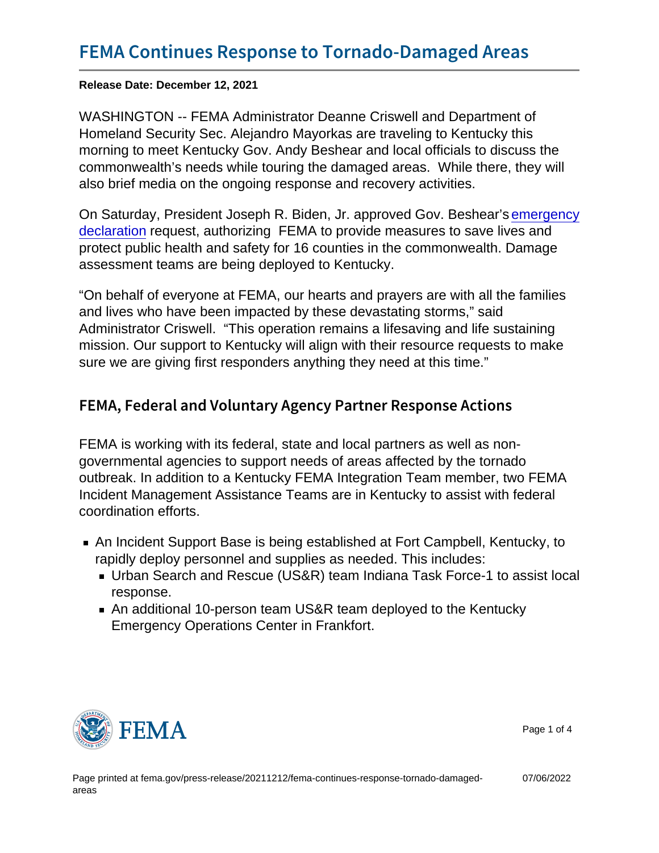Release Date: December 12, 2021

WASHINGTON -- FEMA Administrator Deanne Criswell and Department of Homeland Security Sec. Alejandro Mayorkas are traveling to Kentucky this morning to meet Kentucky Gov. Andy Beshear and local officials to discuss the commonwealth's needs while touring the damaged areas. While there, they will also brief media on the ongoing response and recovery activities.

On Saturday, President Joseph R. Biden, Jr. approved Gov. Beshear's [emergency](https://www.fema.gov/press-release/20211211/fema-responds-tornado-outbreaks) [declaration](https://www.fema.gov/press-release/20211211/fema-responds-tornado-outbreaks) request, authorizing FEMA to provide measures to save lives and protect public health and safety for 16 counties in the commonwealth. Damage assessment teams are being deployed to Kentucky.

"On behalf of everyone at FEMA, our hearts and prayers are with all the families and lives who have been impacted by these devastating storms," said Administrator Criswell. "This operation remains a lifesaving and life sustaining mission. Our support to Kentucky will align with their resource requests to make sure we are giving first responders anything they need at this time."

## FEMA, Federal and Voluntary Agency Partner Resp

FEMA is working with its federal, state and local partners as well as nongovernmental agencies to support needs of areas affected by the tornado outbreak. In addition to a Kentucky FEMA Integration Team member, two FEMA Incident Management Assistance Teams are in Kentucky to assist with federal coordination efforts.

- An Incident Support Base is being established at Fort Campbell, Kentucky, to rapidly deploy personnel and supplies as needed. This includes:
	- Urban Search and Rescue (US&R) team Indiana Task Force-1 to assist local response.
	- An additional 10-person team US&R team deployed to the Kentucky Emergency Operations Center in Frankfort.



Page 1 of 4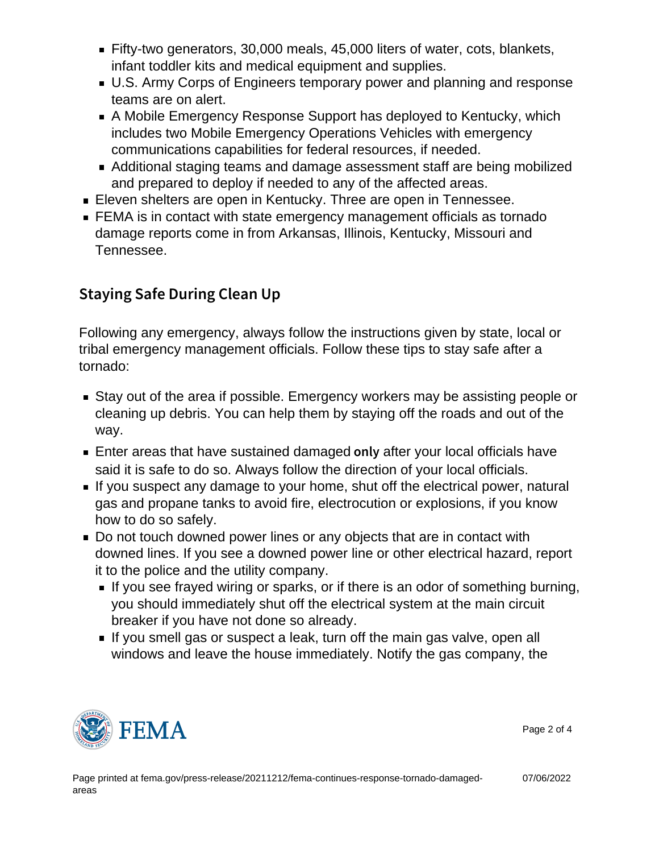- Fifty-two generators, 30,000 meals, 45,000 liters of water, cots, blankets, infant toddler kits and medical equipment and supplies.
- U.S. Army Corps of Engineers temporary power and planning and response teams are on alert.
- A Mobile Emergency Response Support has deployed to Kentucky, which includes two Mobile Emergency Operations Vehicles with emergency communications capabilities for federal resources, if needed.
- Additional staging teams and damage assessment staff are being mobilized and prepared to deploy if needed to any of the affected areas.
- Eleven shelters are open in Kentucky. Three are open in Tennessee.
- FEMA is in contact with state emergency management officials as tornado damage reports come in from Arkansas, Illinois, Kentucky, Missouri and Tennessee.

## Staying Safe During Clean Up

Following any emergency, always follow the instructions given by state, local or tribal emergency management officials. Follow these tips to stay safe after a tornado:

- Stay out of the area if possible. Emergency workers may be assisting people or cleaning up debris. You can help them by staying off the roads and out of the way.
- **Enter areas that have sustained damaged on lafter your local officials have** said it is safe to do so. Always follow the direction of your local officials.
- If you suspect any damage to your home, shut off the electrical power, natural gas and propane tanks to avoid fire, electrocution or explosions, if you know how to do so safely.
- Do not touch downed power lines or any objects that are in contact with downed lines. If you see a downed power line or other electrical hazard, report it to the police and the utility company.
	- If you see frayed wiring or sparks, or if there is an odor of something burning, you should immediately shut off the electrical system at the main circuit breaker if you have not done so already.
	- If you smell gas or suspect a leak, turn off the main gas valve, open all windows and leave the house immediately. Notify the gas company, the



Page 2 of 4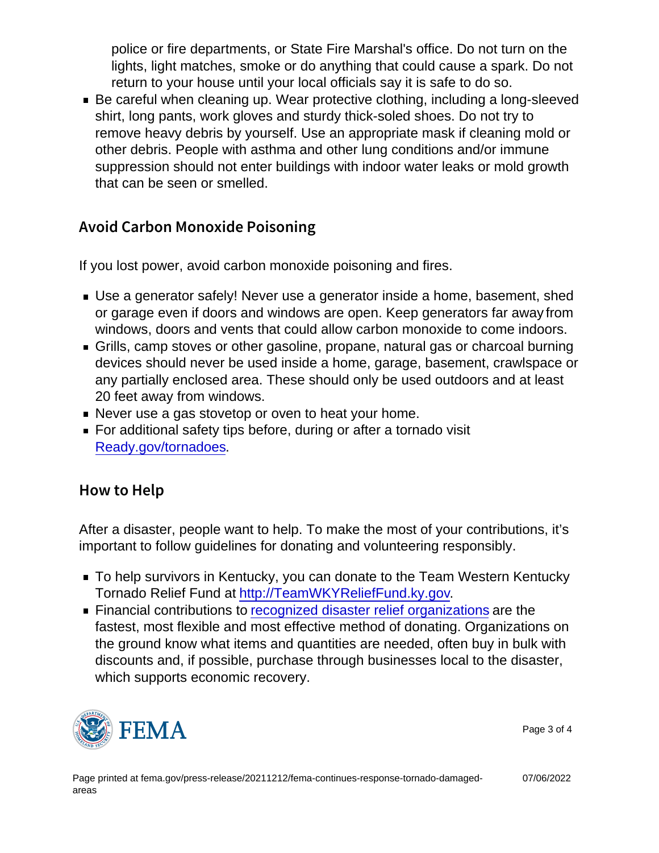police or fire departments, or State Fire Marshal's office. Do not turn on the lights, light matches, smoke or do anything that could cause a spark. Do not return to your house until your local officials say it is safe to do so.

Be careful when cleaning up. Wear protective clothing, including a long-sleeved shirt, long pants, work gloves and sturdy thick-soled shoes. Do not try to remove heavy debris by yourself. Use an appropriate mask if cleaning mold or other debris. People with asthma and other lung conditions and/or immune suppression should not enter buildings with indoor water leaks or mold growth that can be seen or smelled.

## Avoid Carbon Monoxide Poisoning

If you lost power, avoid carbon monoxide poisoning and fires.

- Use a generator safely! Never use a generator inside a home, basement, shed or garage even if doors and windows are open. Keep generators far away from windows, doors and vents that could allow carbon monoxide to come indoors.
- Grills, camp stoves or other gasoline, propane, natural gas or charcoal burning devices should never be used inside a home, garage, basement, crawlspace or any partially enclosed area. These should only be used outdoors and at least 20 feet away from windows.
- Never use a gas stovetop or oven to heat your home.
- For additional safety tips before, during or after a tornado visit [Ready.gov/tornadoes.](https://www.ready.gov/tornadoes)

## How to Help

After a disaster, people want to help. To make the most of your contributions, it's important to follow guidelines for donating and volunteering responsibly.

- To help survivors in Kentucky, you can donate to the Team Western Kentucky Tornado Relief Fund at<http://TeamWKYReliefFund.ky.gov>.
- **Financial contributions to [recognized disaster relief organizations](https://www.nvoad.org/howtohelp/donate/) are the** fastest, most flexible and most effective method of donating. Organizations on the ground know what items and quantities are needed, often buy in bulk with discounts and, if possible, purchase through businesses local to the disaster, which supports economic recovery.



Page 3 of 4